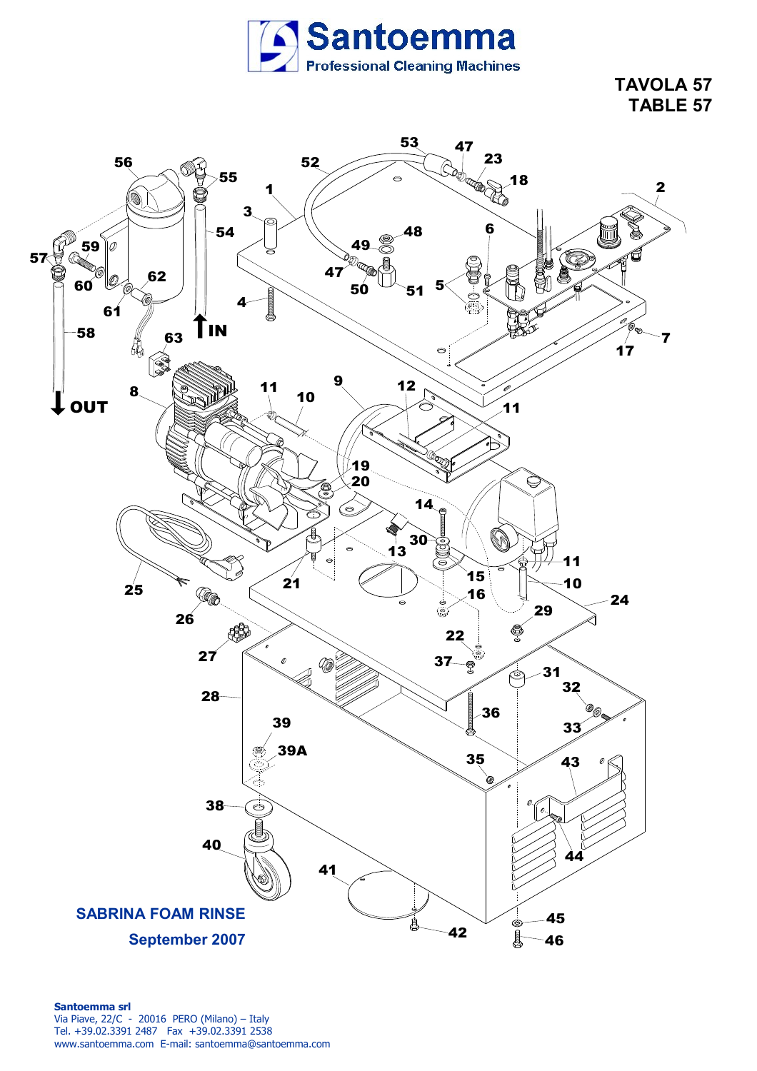

**TAVOLA 57 TABLE 57**

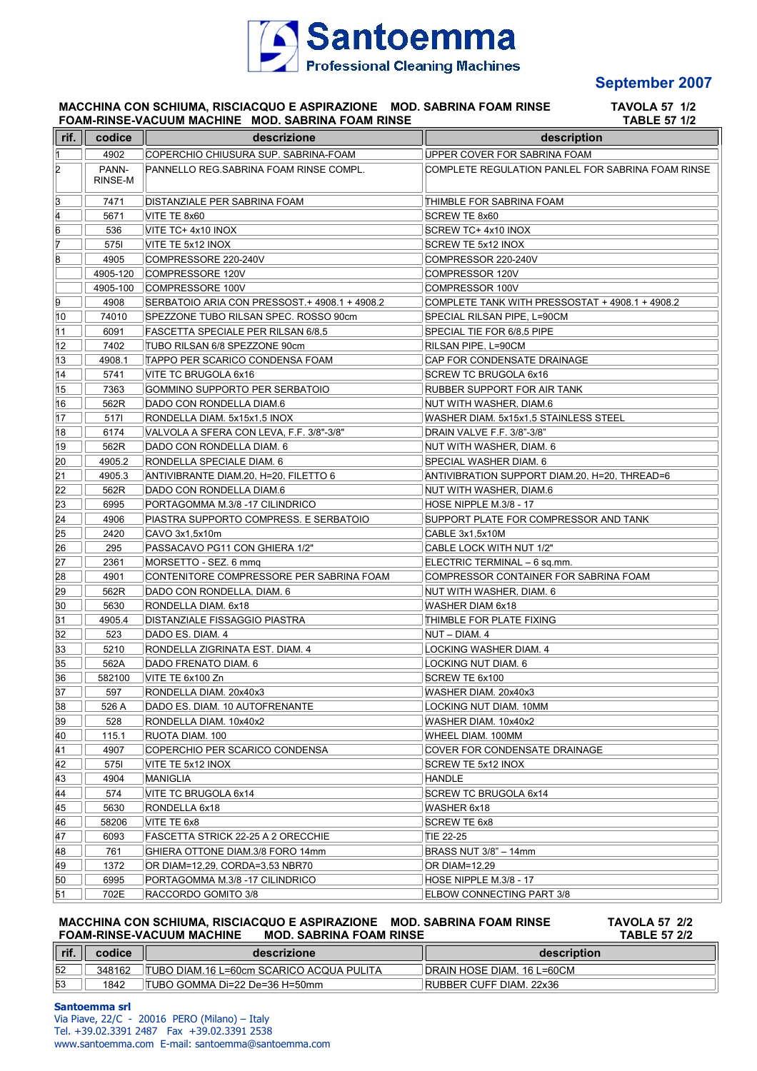

## **September 2007**

## **MACCHINA CON SCHIUMA, RISCIACQUO E ASPIRAZIONE MOD. SABRINA FOAM RINSE TAVOLA 57 1/2 FOAM-RINSE-VACUUM MACHINE MOD. SABRINA FOAM RINSE TABLE 57 1/2**

| rif. | codice           | descrizione                                   | description                                       |
|------|------------------|-----------------------------------------------|---------------------------------------------------|
| 1    | 4902             | COPERCHIO CHIUSURA SUP. SABRINA-FOAM          | UPPER COVER FOR SABRINA FOAM                      |
| 2    | PANN-<br>RINSE-M | PANNELLO REG. SABRINA FOAM RINSE COMPL.       | COMPLETE REGULATION PANLEL FOR SABRINA FOAM RINSE |
| З    | 7471             | DISTANZIALE PER SABRINA FOAM                  | THIMBLE FOR SABRINA FOAM                          |
| 4    | 5671             | VITE TE 8x60                                  | SCREW TE 8x60                                     |
| 6    | 536              | VITE TC+ 4x10 INOX                            | SCREW TC+ 4x10 INOX                               |
| 7    | 5751             | VITE TE 5x12 INOX                             | SCREW TE 5x12 INOX                                |
| 8    | 4905             | COMPRESSORE 220-240V                          | COMPRESSOR 220-240V                               |
|      | 4905-120         | COMPRESSORE 120V                              | COMPRESSOR 120V                                   |
|      |                  | 4905-100 COMPRESSORE 100V                     | COMPRESSOR 100V                                   |
| 9    | 4908             | SERBATOIO ARIA CON PRESSOST + 4908.1 + 4908.2 | COMPLETE TANK WITH PRESSOSTAT + 4908.1 + 4908.2   |
| 10   | 74010            | SPEZZONE TUBO RILSAN SPEC. ROSSO 90cm         | SPECIAL RILSAN PIPE, L=90CM                       |
| 11   | 6091             | <b>FASCETTA SPECIALE PER RILSAN 6/8.5</b>     | SPECIAL TIE FOR 6/8,5 PIPE                        |
| 12   | 7402             | TUBO RILSAN 6/8 SPEZZONE 90cm                 | RILSAN PIPE, L=90CM                               |
| 13   | 4908.1           | <b>TAPPO PER SCARICO CONDENSA FOAM</b>        | CAP FOR CONDENSATE DRAINAGE                       |
| 14   | 5741             | VITE TC BRUGOLA 6x16                          | SCREW TC BRUGOLA 6x16                             |
| 15   | 7363             | GOMMINO SUPPORTO PER SERBATOIO                | RUBBER SUPPORT FOR AIR TANK                       |
| 16   | 562R             | DADO CON RONDELLA DIAM.6                      | NUT WITH WASHER, DIAM.6                           |
| 17   | 5171             | RONDELLA DIAM. 5x15x1.5 INOX                  | WASHER DIAM. 5x15x1.5 STAINLESS STEEL             |
| 18   | 6174             | VALVOLA A SFERA CON LEVA, F.F. 3/8"-3/8"      | DRAIN VALVE F.F. 3/8"-3/8"                        |
| 19   | 562R             | DADO CON RONDELLA DIAM. 6                     | NUT WITH WASHER, DIAM. 6                          |
| 20   | 4905.2           | RONDELLA SPECIALE DIAM. 6                     | SPECIAL WASHER DIAM. 6                            |
| 21   | 4905.3           | ANTIVIBRANTE DIAM.20. H=20. FILETTO 6         | ANTIVIBRATION SUPPORT DIAM.20, H=20, THREAD=6     |
| 22   | 562R             | DADO CON RONDELLA DIAM.6                      | NUT WITH WASHER, DIAM.6                           |
| 23   | 6995             | PORTAGOMMA M.3/8 -17 CILINDRICO               | HOSE NIPPLE M.3/8 - 17                            |
| 24   | 4906             | PIASTRA SUPPORTO COMPRESS. E SERBATOIO        | SUPPORT PLATE FOR COMPRESSOR AND TANK             |
| 25   | 2420             | CAVO 3x1,5x10m                                | CABLE 3x1,5x10M                                   |
| 26   | 295              | PASSACAVO PG11 CON GHIERA 1/2"                | CABLE LOCK WITH NUT 1/2"                          |
| 27   | 2361             | MORSETTO - SEZ. 6 mmg                         | ELECTRIC TERMINAL - 6 sq.mm.                      |
| 28   | 4901             | CONTENITORE COMPRESSORE PER SABRINA FOAM      | COMPRESSOR CONTAINER FOR SABRINA FOAM             |
| 29   | 562R             | DADO CON RONDELLA, DIAM. 6                    | NUT WITH WASHER, DIAM. 6                          |
| 30   | 5630             | RONDELLA DIAM. 6x18                           | WASHER DIAM 6x18                                  |
| 31   | 4905.4           | DISTANZIALE FISSAGGIO PIASTRA                 | THIMBLE FOR PLATE FIXING                          |
| 32   | 523              | DADO ES. DIAM. 4                              | NUT – DIAM. 4                                     |
| 33   | 5210             | RONDELLA ZIGRINATA EST. DIAM. 4               | LOCKING WASHER DIAM. 4                            |
| 35   | 562A             | DADO FRENATO DIAM. 6                          | LOCKING NUT DIAM. 6                               |
| 36   | 582100           | VITE TE 6x100 Zn                              | SCREW TE 6x100                                    |
| 37   | 597              | RONDELLA DIAM. 20x40x3                        | WASHER DIAM. 20x40x3                              |
| 38   | 526 A            | DADO ES. DIAM. 10 AUTOFRENANTE                | LOCKING NUT DIAM. 10MM                            |
| 39   | 528              | RONDELLA DIAM. 10x40x2                        | WASHER DIAM. 10x40x2                              |
| 40   | 115.1            | RUOTA DIAM. 100                               | WHEEL DIAM. 100MM                                 |
| 41   | 4907             | COPERCHIO PER SCARICO CONDENSA                | COVER FOR CONDENSATE DRAINAGE                     |
| 42   | 5751             | VITE TE 5x12 INOX                             | SCREW TE 5x12 INOX                                |
| 43   | 4904             | MANIGLIA                                      | HANDLE                                            |
| 44   | 574              | VITE TC BRUGOLA 6x14                          | SCREW TC BRUGOLA 6x14                             |
| 45   | 5630             | RONDELLA 6x18                                 | WASHER 6x18                                       |
| 46   | 58206            | VITE TE 6x8                                   | SCREW TE 6x8                                      |
| 47   | 6093             | FASCETTA STRICK 22-25 A 2 ORECCHIE            | TIE 22-25                                         |
| 48   | 761              | GHIERA OTTONE DIAM.3/8 FORO 14mm              | BRASS NUT 3/8" - 14mm                             |
| 49   | 1372             | OR DIAM=12,29, CORDA=3,53 NBR70               | OR DIAM=12,29                                     |
| 50   | 6995             | PORTAGOMMA M.3/8 -17 CILINDRICO               | HOSE NIPPLE M.3/8 - 17                            |
| 51   | 702E             | RACCORDO GOMITO 3/8                           | ELBOW CONNECTING PART 3/8                         |

## **MACCHINA CON SCHIUMA, RISCIACQUO E ASPIRAZIONE MOD. SABRINA FOAM RINSE TAVOLA 57 2/2 FOAM-RINSE-VACUUM MACHINE MOD. SABRINA FOAM RINSE TABLE 57 2/2**

| rif. | codice | descrizione                                      | description                |
|------|--------|--------------------------------------------------|----------------------------|
| 52   | 348162 | <b>ITUBO DIAM.16 L=60cm SCARICO ACQUA PULITA</b> | DRAIN HOSE DIAM. 16 L=60CM |
| 53   | 1842   | ITUBO GOMMA Di=22 De=36 H=50mm                   | RUBBER CUFF DIAM, 22x36    |